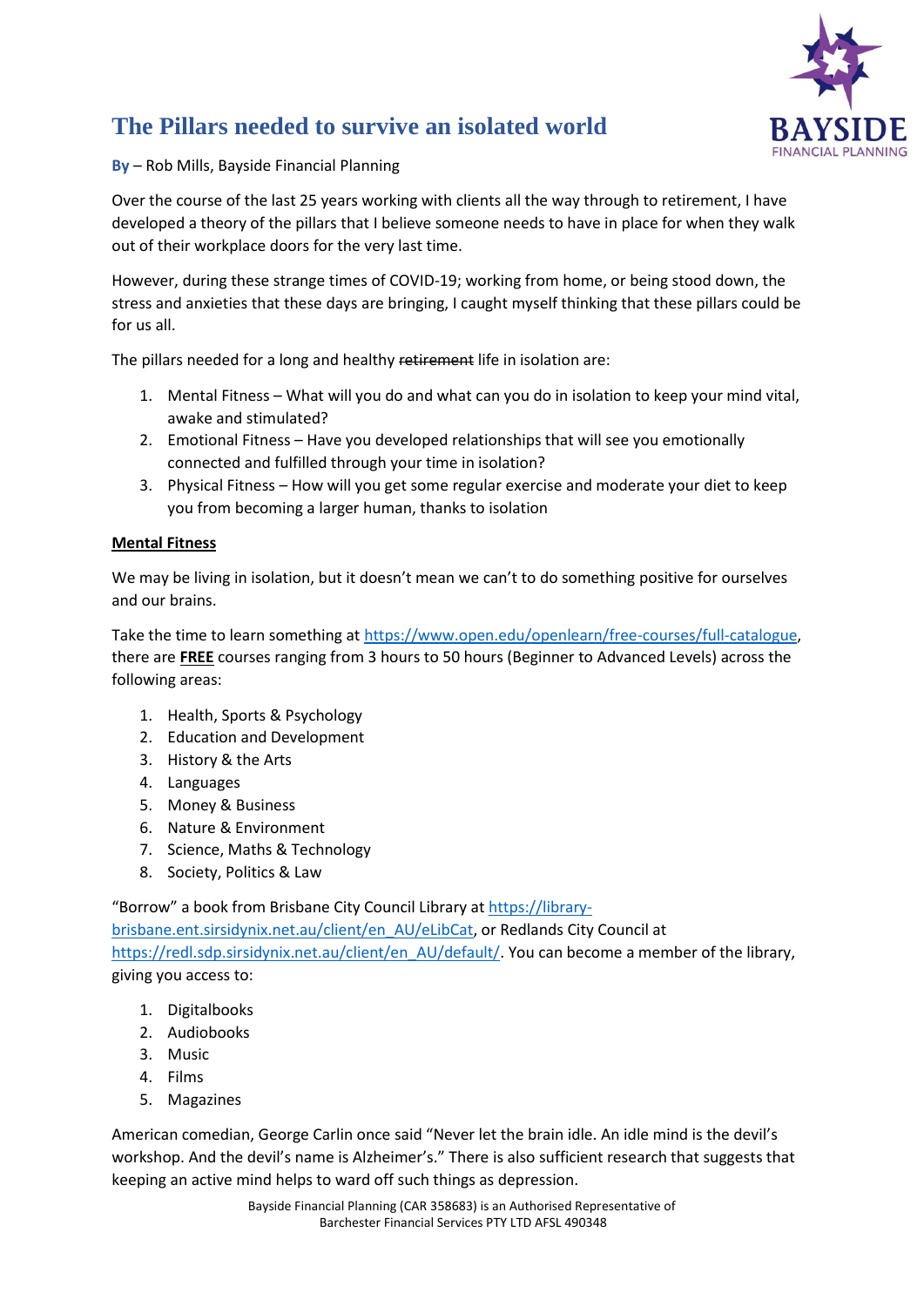

# **The Pillars needed to survive an isolated world**

**By** – Rob Mills, Bayside Financial Planning

Over the course of the last 25 years working with clients all the way through to retirement, I have developed a theory of the pillars that I believe someone needs to have in place for when they walk out of their workplace doors for the very last time.

However, during these strange times of COVID-19; working from home, or being stood down, the stress and anxieties that these days are bringing, I caught myself thinking that these pillars could be for us all.

The pillars needed for a long and healthy retirement life in isolation are:

- 1. Mental Fitness What will you do and what can you do in isolation to keep your mind vital, awake and stimulated?
- 2. Emotional Fitness Have you developed relationships that will see you emotionally connected and fulfilled through your time in isolation?
- 3. Physical Fitness How will you get some regular exercise and moderate your diet to keep you from becoming a larger human, thanks to isolation

## **Mental Fitness**

We may be living in isolation, but it doesn't mean we can't to do something positive for ourselves and our brains.

Take the time to learn something a[t https://www.open.edu/openlearn/free-courses/full-catalogue,](https://www.open.edu/openlearn/free-courses/full-catalogue) there are **FREE** courses ranging from 3 hours to 50 hours (Beginner to Advanced Levels) across the following areas:

- 1. Health, Sports & Psychology
- 2. Education and Development
- 3. History & the Arts
- 4. Languages
- 5. Money & Business
- 6. Nature & Environment
- 7. Science, Maths & Technology
- 8. Society, Politics & Law

"Borrow" a book from Brisbane City Council Library at [https://library-](https://library-brisbane.ent.sirsidynix.net.au/client/en_AU/eLibCat)

[brisbane.ent.sirsidynix.net.au/client/en\\_AU/eLibCat,](https://library-brisbane.ent.sirsidynix.net.au/client/en_AU/eLibCat) or Redlands City Council at [https://redl.sdp.sirsidynix.net.au/client/en\\_AU/default/.](https://redl.sdp.sirsidynix.net.au/client/en_AU/default/) You can become a member of the library, giving you access to:

- 1. Digitalbooks
- 2. Audiobooks
- 3. Music
- 4. Films
- 5. Magazines

American comedian, George Carlin once said "Never let the brain idle. An idle mind is the devil's workshop. And the devil's name is Alzheimer's." There is also sufficient research that suggests that keeping an active mind helps to ward off such things as depression.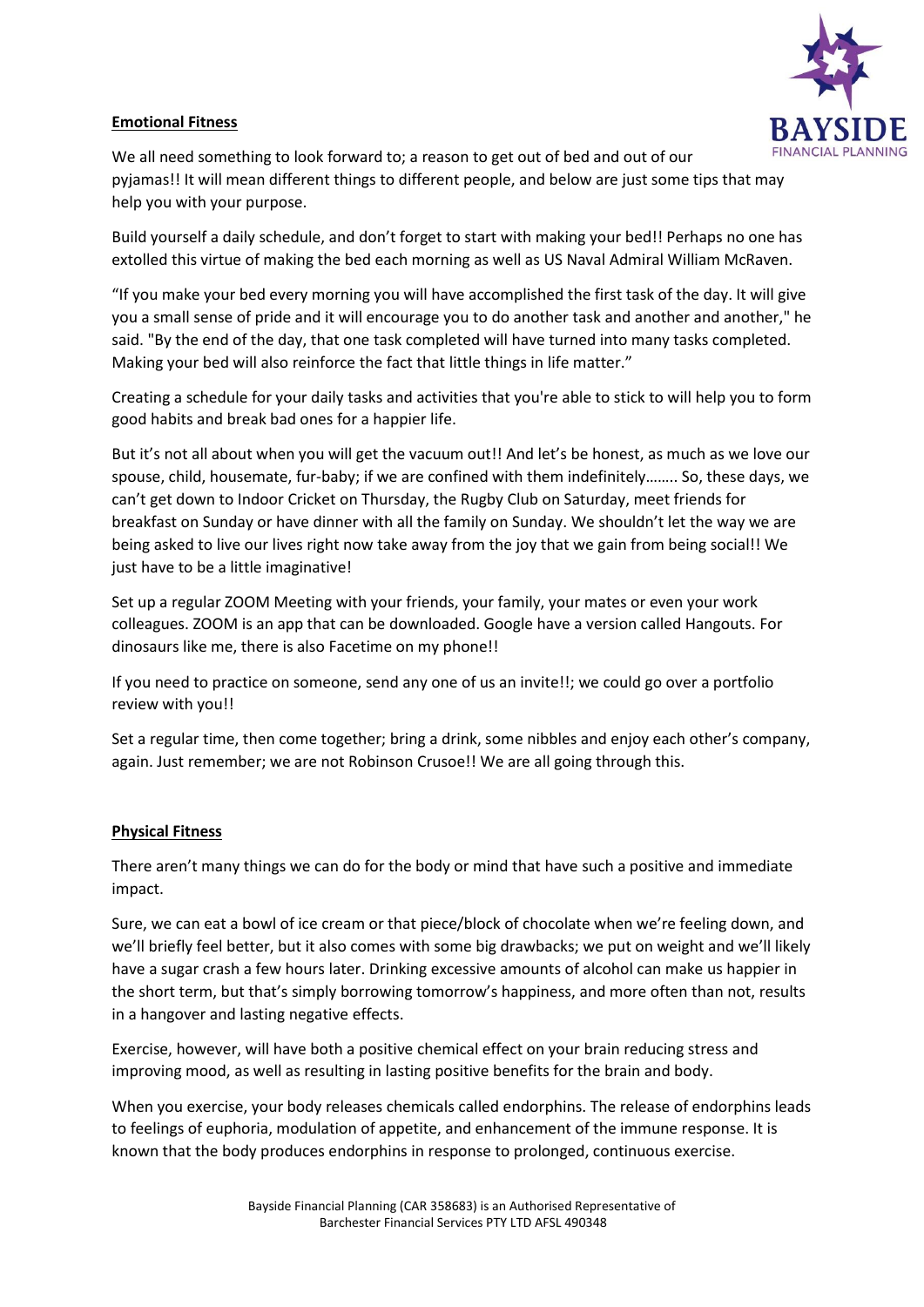### **Emotional Fitness**



We all need something to look forward to; a reason to get out of bed and out of our pyjamas!! It will mean different things to different people, and below are just some tips that may help you with your purpose.

Build yourself a daily schedule, and don't forget to start with making your bed!! Perhaps no one has extolled this virtue of making the bed each morning as well as US Naval Admiral William McRaven.

"If you make your bed every morning you will have accomplished the first task of the day. It will give you a small sense of pride and it will encourage you to do another task and another and another," he said. "By the end of the day, that one task completed will have turned into many tasks completed. Making your bed will also reinforce the fact that little things in life matter."

Creating a schedule for your daily tasks and activities that you're able to stick to will help you to form good habits and break bad ones for a happier life.

But it's not all about when you will get the vacuum out!! And let's be honest, as much as we love our spouse, child, housemate, fur-baby; if we are confined with them indefinitely…….. So, these days, we can't get down to Indoor Cricket on Thursday, the Rugby Club on Saturday, meet friends for breakfast on Sunday or have dinner with all the family on Sunday. We shouldn't let the way we are being asked to live our lives right now take away from the joy that we gain from being social!! We just have to be a little imaginative!

Set up a regular ZOOM Meeting with your friends, your family, your mates or even your work colleagues. ZOOM is an app that can be downloaded. Google have a version called Hangouts. For dinosaurs like me, there is also Facetime on my phone!!

If you need to practice on someone, send any one of us an invite!!; we could go over a portfolio review with you!!

Set a regular time, then come together; bring a drink, some nibbles and enjoy each other's company, again. Just remember; we are not Robinson Crusoe!! We are all going through this.

#### **Physical Fitness**

There aren't many things we can do for the body or mind that have such a positive and immediate impact.

Sure, we can eat a bowl of ice cream or that piece/block of chocolate when we're feeling down, and we'll briefly feel better, but it also comes with some big drawbacks; we put on weight and we'll likely have a sugar crash a few hours later. Drinking excessive amounts of alcohol can make us happier in the short term, but that's simply borrowing tomorrow's happiness, and more often than not, results in a hangover and lasting negative effects.

Exercise, however, will have both a positive chemical effect on your brain reducing stress and improving mood, as well as resulting in lasting positive benefits for the brain and body.

When you exercise, your body releases chemicals called endorphins. The release of endorphins leads to feelings of euphoria, modulation of appetite, and enhancement of the immune response. It is known that the body produces endorphins in response to prolonged, continuous exercise.